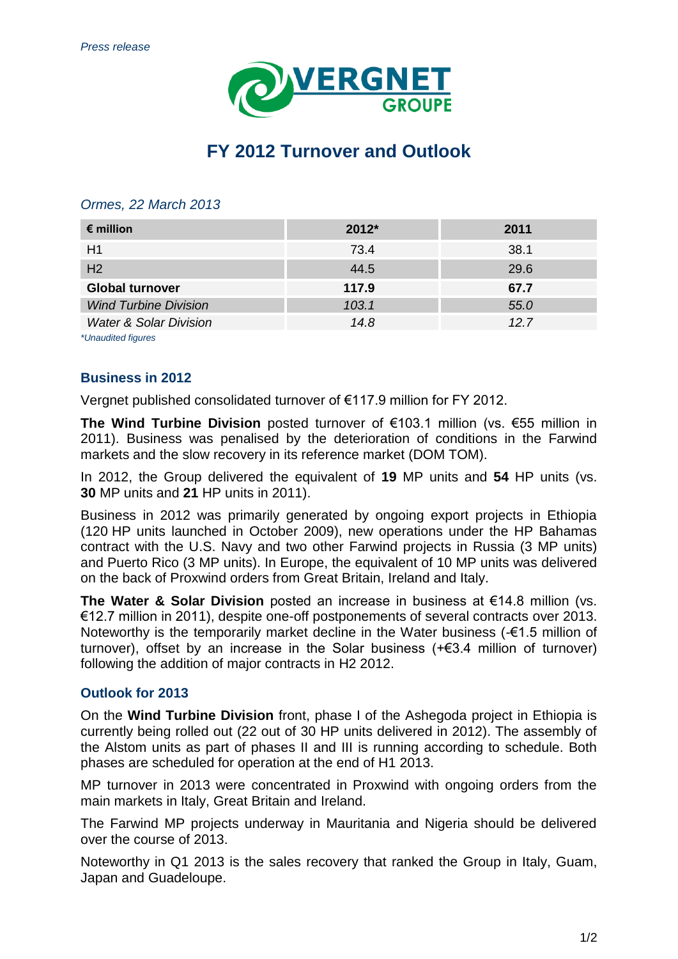

## **FY 2012 Turnover and Outlook**

## *Ormes, 22 March 2013*

| $\epsilon$ million                | $2012*$ | 2011 |
|-----------------------------------|---------|------|
| H1                                | 73.4    | 38.1 |
| H <sub>2</sub>                    | 44.5    | 29.6 |
| <b>Global turnover</b>            | 117.9   | 67.7 |
| <b>Wind Turbine Division</b>      | 103.1   | 55.0 |
| <b>Water &amp; Solar Division</b> | 14.8    | 127  |

*\*Unaudited figures*

## **Business in 2012**

Vergnet published consolidated turnover of €117.9 million for FY 2012.

**The Wind Turbine Division** posted turnover of €103.1 million (vs. €55 million in 2011). Business was penalised by the deterioration of conditions in the Farwind markets and the slow recovery in its reference market (DOM TOM).

In 2012, the Group delivered the equivalent of **19** MP units and **54** HP units (vs. **30** MP units and **21** HP units in 2011).

Business in 2012 was primarily generated by ongoing export projects in Ethiopia (120 HP units launched in October 2009), new operations under the HP Bahamas contract with the U.S. Navy and two other Farwind projects in Russia (3 MP units) and Puerto Rico (3 MP units). In Europe, the equivalent of 10 MP units was delivered on the back of Proxwind orders from Great Britain, Ireland and Italy.

**The Water & Solar Division** posted an increase in business at €14.8 million (vs. €12.7 million in 2011), despite one-off postponements of several contracts over 2013. Noteworthy is the temporarily market decline in the Water business (-€1.5 million of turnover), offset by an increase in the Solar business (+€3.4 million of turnover) following the addition of major contracts in H2 2012.

## **Outlook for 2013**

On the **Wind Turbine Division** front, phase I of the Ashegoda project in Ethiopia is currently being rolled out (22 out of 30 HP units delivered in 2012). The assembly of the Alstom units as part of phases II and III is running according to schedule. Both phases are scheduled for operation at the end of H1 2013.

MP turnover in 2013 were concentrated in Proxwind with ongoing orders from the main markets in Italy, Great Britain and Ireland.

The Farwind MP projects underway in Mauritania and Nigeria should be delivered over the course of 2013.

Noteworthy in Q1 2013 is the sales recovery that ranked the Group in Italy, Guam, Japan and Guadeloupe.